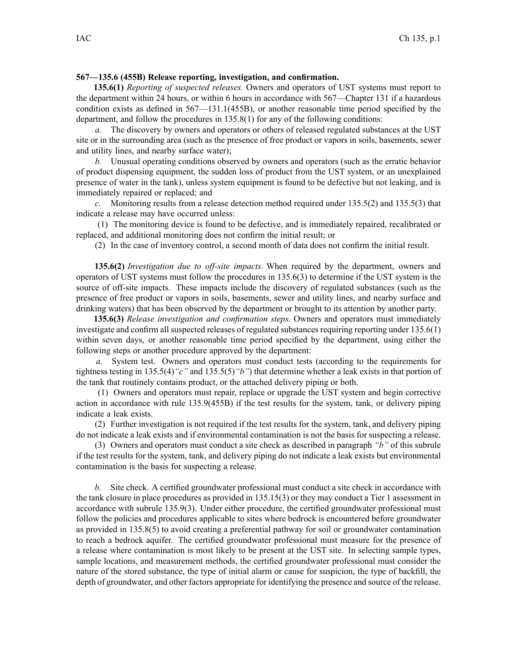## **567—135.6 (455B) Release reporting, investigation, and confirmation.**

**135.6(1)** *Reporting of suspected releases.* Owners and operators of UST systems must repor<sup>t</sup> to the department within 24 hours, or within 6 hours in accordance with 567—Chapter 131 if <sup>a</sup> hazardous condition exists as defined in 567—131.1(455B), or another reasonable time period specified by the department, and follow the procedures in 135.8(1) for any of the following conditions:

*a.* The discovery by owners and operators or others of released regulated substances at the UST site or in the surrounding area (such as the presence of free product or vapors in soils, basements, sewer and utility lines, and nearby surface water);

*b.* Unusual operating conditions observed by owners and operators (such as the erratic behavior of product dispensing equipment, the sudden loss of product from the UST system, or an unexplained presence of water in the tank), unless system equipment is found to be defective but not leaking, and is immediately repaired or replaced; and

*c.* Monitoring results from <sup>a</sup> release detection method required under 135.5(2) and 135.5(3) that indicate <sup>a</sup> release may have occurred unless:

(1) The monitoring device is found to be defective, and is immediately repaired, recalibrated or replaced, and additional monitoring does not confirm the initial result; or

(2) In the case of inventory control, <sup>a</sup> second month of data does not confirm the initial result.

**135.6(2)** *Investigation due to off-site impacts.* When required by the department, owners and operators of UST systems must follow the procedures in 135.6(3) to determine if the UST system is the source of off-site impacts. These impacts include the discovery of regulated substances (such as the presence of free product or vapors in soils, basements, sewer and utility lines, and nearby surface and drinking waters) that has been observed by the department or brought to its attention by another party.

**135.6(3)** *Release investigation and confirmation steps.* Owners and operators must immediately investigate and confirm all suspected releases of regulated substances requiring reporting under 135.6(1) within seven days, or another reasonable time period specified by the department, using either the following steps or another procedure approved by the department:

*a.* System test. Owners and operators must conduct tests (according to the requirements for tightness testing in 135.5(4)*"c"* and 135.5(5)*"b"*) that determine whether <sup>a</sup> leak exists in that portion of the tank that routinely contains product, or the attached delivery piping or both.

(1) Owners and operators must repair, replace or upgrade the UST system and begin corrective action in accordance with rule 135.9(455B) if the test results for the system, tank, or delivery piping indicate <sup>a</sup> leak exists.

(2) Further investigation is not required if the test results for the system, tank, and delivery piping do not indicate <sup>a</sup> leak exists and if environmental contamination is not the basis for suspecting <sup>a</sup> release.

(3) Owners and operators must conduct <sup>a</sup> site check as described in paragraph *"b"* of this subrule if the test results for the system, tank, and delivery piping do not indicate <sup>a</sup> leak exists but environmental contamination is the basis for suspecting <sup>a</sup> release.

*b.* Site check. A certified groundwater professional must conduct <sup>a</sup> site check in accordance with the tank closure in place procedures as provided in 135.15(3) or they may conduct <sup>a</sup> Tier 1 assessment in accordance with subrule 135.9(3). Under either procedure, the certified groundwater professional must follow the policies and procedures applicable to sites where bedrock is encountered before groundwater as provided in 135.8(5) to avoid creating <sup>a</sup> preferential pathway for soil or groundwater contamination to reach <sup>a</sup> bedrock aquifer. The certified groundwater professional must measure for the presence of <sup>a</sup> release where contamination is most likely to be presen<sup>t</sup> at the UST site. In selecting sample types, sample locations, and measurement methods, the certified groundwater professional must consider the nature of the stored substance, the type of initial alarm or cause for suspicion, the type of backfill, the depth of groundwater, and other factors appropriate for identifying the presence and source of the release.